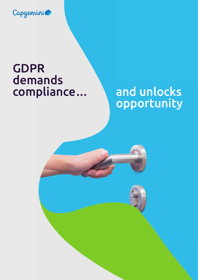

### GDPR demands compliance... and unlocks

# opportunity

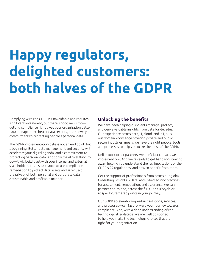## **Happy regulators, delighted customers: both halves of the GDPR**

Complying with the GDPR is unavoidable and requires significant investment, but there's good news too getting compliance right gives your organization better data management, better data security, and shows your commitment to protecting people's personal data.

The GDPR implementation date is not an end point, but a beginning. Better data management and security will accelerate your digital agenda, and a commitment to protecting personal data is not only the ethical thing to do—it will build trust with your internal and external stakeholders. It is also a chance to use compliance remediation to protect data assets and safeguard the privacy of both personal and corporate data in a sustainable and profitable manner.

#### **Unlocking the benefits**

We have been helping our clients manage, protect, and derive valuable insights from data for decades. Our experience across data, IT, cloud, and IoT, plus our domain knowledge covering private and public sector industries, means we have the right people, tools, and processes to help you make the most of the GDPR.

Unlike most other partners, we don't just consult, we implement too. And we're ready to get hands-on straight away, helping you understand the full implications of the GDPR's 99 regulations, and how to benefit from them.

Get the support of professionals from across our global Consulting, Insights & Data, and Cybersecurity practices for assessment, remediation, and assurance. We can partner end-to-end, across the full GDPR lifecycle or at specific, targeted points in your journey.

Our GDPR accelerators—pre-built solutions, services, and processes—can fast-forward your journey towards compliance. And, with a deep understanding of the technological landscape, we are well positioned to help you make the technology choices that are right for your organization.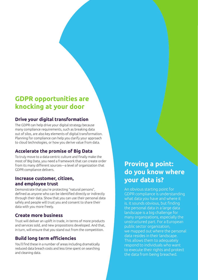### **GDPR opportunities are knocking at your door**

#### **Drive your digital transformation**

The GDPR can help drive your digital strategy because many compliance requirements, such as breaking data out of silos, are also key elements of digital transformation. Planning for compliance can help you clarify your approach to cloud technologies, or how you derive value from data.

#### **Accelerate the promise of Big Data**

To truly move to a data-centric culture and finally make the most of Big Data, you need a framework that can create order from its many different sources—a level of organization that GDPR compliance delivers.

#### **Increase customer, citizen, and employee trust**

Demonstrate that you're protecting "natural persons", defined as anyone who can be identified directly or indirectly through their data. Show that you can use their personal data safely and people will trust you and consent to share their data with you more freely.

#### **Create more business**

Trust will deliver an uplift in trade, in terms of more products and services sold, and new propositions developed. And that, in turn, will ensure that you stand out from the competition.

#### **Build long term efficiencies**

You'll find these in a number of areas including dramatically reduced data breach costs and less time spent on searching and cleaning data.

### **Proving a point: do you know where your data is?**

An obvious starting point for GDPR compliance is understanding what data you have and where it is. It sounds obvious, but finding the personal data in a large data landscape is a big challenge for many organizations, especially the unstructured part. For a European public sector organization, we mapped out where the personal data resides in their landscape. This allows them to adequately respond to individuals who want to execute their rights and protect the data from being breached.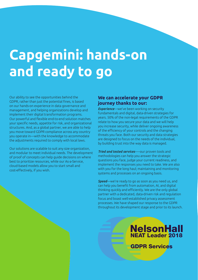## **Capgemini: hands-on and ready to go**

Our ability to see the opportunities behind the GDPR, rather than just the potential fines, is based on our hands-on experience in data governance and management, and helping organizations develop and implement their digital transformation programs. Our powerful and flexible end-to-end solution matches your specific needs, appetite for risk, and organizational structures. And, as a global partner, we are able to help you move toward GDPR compliance across any country you operate in—with the knowledge to accommodate the adjustments required to comply with local laws.

Our solutions are scalable to suit any size organization, and modular to meet individual needs. The development of proof of concepts can help guide decisions on where best to prioritize resources, while our As-a-Service, cloud-based models allow you to start small and cost-effectively, if you wish.

#### **We can accelerate your GDPR journey thanks to our:**

*Experience*—we've been working on security fundamentals and digital, data-driven strategies for years. 50% of the non-legal requirements of the GDPR relate to how you secure your data and we will help you increase security, while deliver ongoing awareness of the efficiency of your controls and the changing threats you face. Both our security and data strategies are designed to focus on the needs of the individual, by building trust into the way data is managed.

*Tried and tested services*–—our proven tools and methodologies can help you answer the strategic questions you face, judge your current readiness, and implement the responses you need to take. We are also with you for the long haul; maintaining and monitoring systems and processes on an ongoing basis.

*Speed*—we're ready to go as soon as you need us, and can help you benefit from automation, AI, and digital thinking quickly and efficiently. We are the only global partner with a dedicated, data-driven risk and regulation focus and boast well-established privacy assessment processes. We have shaped our response to the GDPR throughout its development stage and prior to its launch.

### **NelsonHall** NEAT Leader 2018 GDPR Services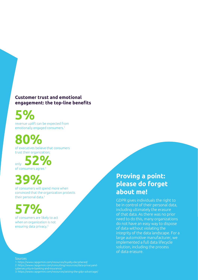#### **Customer trust and emotional engagement: the top-line benefits**

**5%**

revenue uplift can be expected from emotionally engaged consumers.1

### **80%**

of executives believe that consumers trust their organization;

of consumers agree.3 only **52%**

### **39%**

of consumers will spend more when convinced that the organization protects their personal data.3

## **57%**

of consumers are likely to act when an organization is not ensuring data privacy.3

#### **Sources**

1: https://www.capgemini.com/resources/loyalty-deciphered/ 2: https://www.capgemini.com/consulting/resources/data-privacyandcybersecurity-in-banking-and-insurance/ 3: https://www.capgemini.com/resources/seizing-the-gdpr-advantage/

### **Proving a point: please do forget about me!**

GDPR gives individuals the right to be in control of their personal data, including ultimately the erasure of that data. As there was no prior need to do this, many organizations do not have an easy way to dispose of data without violating the integrity of the data landscape. For a large automotive manufacturer, we implemented a full data lifecycle solution, including the process of data erasure.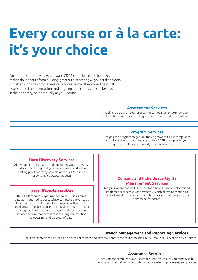## **Every course or à la carte: it's your choice**

Our approach to moving you toward GDPR compliance and helping you realize the benefits from building greater trust among all your stakeholders, is built around the comprehensive services below. They cover the initial assessment, implementation, and ongoing monitoring and can be used in their entirety, or individually as you require.

#### **Assessment Services**

Delivers a view on your processing compliance, strategic vision, and GDPR awareness, and integrates all internal and external teams.

#### **Program Services**

Designs the program to get you moving toward GDPR compliance and allows you to adapt and customize GDPR principles to your specific challenges, context, processes, and culture.

#### **Data Discovery Services**

Allows you to understand and document where personal data exists throughout your organization and is the starting point for many aspects of the GDPR, such as responding to access requests.

#### **Data lifecycle services**

The GDPR requires organizations to only use as much data as is required to successfully complete a given task. It cannot be reused for another purpose without valid legal ground (such as consent). Individuals have the right to request their data to be erased, and our lifecycle services ensure that care is taken during the creation, processing, and disposal of data.

#### **Consent and Individual's Rights Management Services**

Analyses where consent is needed and how it can be (re)obtained. Implements processes and systems, which allow individuals to invoke their rights, such as the right to access their data and the right to be forgotten.

#### **Breach Management and Reporting Services**

Security-Operations-Center-as-a-Service for monitoring external threats and vulnerabilities, plus Data-Leak-Prevention-as-a-Service

#### **Assurance Services**

Once you are compliant, our Assurance Services ensure you remain so by monitoring, maintaining, and updating your systems, processes, and policies.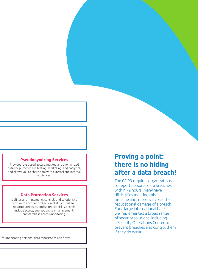#### **Pseudonymizing Services**

Provides role-based access, masked and anonymized data for purposes like testing, marketing, and analytics, and allows you to share data with external and internal audiences.

#### **Data Protection Services**

Defines and implements controls and solutions to ensure the proper protection of structured and unstructured data, and so reduce risk. Controls include access, encryption, key management, and database access monitoring.

for monitoring personal data repositories and flows.

### **Proving a point: there is no hiding after a data breach!**

The GDPR requires organizations to report personal data breaches within 72 hours. Many have difficulties meeting this timeline and, moreover, fear the reputational damage of a breach. For a large international bank, we implemented a broad range of security solutions, including a Security Operations Center to prevent breaches and control them if they do occur.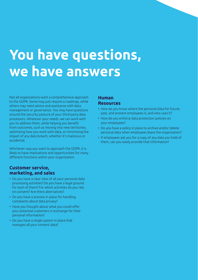## **You have questions, we have answers**

Not all organizations want a comprehensive approach to the GDPR. Some may just require a roadmap, while others may need advice and assistance with data management or governance. You may have questions around the security posture of your third-party data processors. Whatever your needs, we can work with you to address them, while helping you benefit from outcomes, such as moving into new territories, optimizing how you work with data, or minimizing the impact of any data breach, whether it's malicious or accidental.

Whichever way you want to approach the GDPR, it is likely to have implications and opportunities for many different functions within your organization.

#### **Customer service, marketing, and sales**

- Do you have a clear view of all your personal data processing activities? Do you have a legal ground for each of them? For which activities do you rely on consent? Are there alternatives?
- Do you have a process in place for handling complaints about data privacy?
- Have you thought about what you could offer your potential customers in exchange for their personal information?
- Do you have a single system in place that manages all your consent data?

#### **Human Resources**

- How do you know where the personal data for future, past, and present employees is, and who uses it?
- How do you enforce data protection policies on your employees?
- Do you have a policy in place to archive and/or delete personal data when employees leave the organization?
- If employees ask you for a copy of any data you hold of them, can you easily provide that information?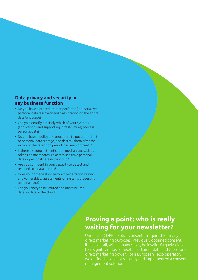#### **Data privacy and security in any business function**

- Do you have a procedure that performs (industrialized) personal data discovery and classification on the entire data landscape?
- Can you identify precisely which of your systems (applications and supporting infrastructure) process personal data?
- Do you have a policy and procedure to put a time limit to personal data storage, and destroy them after the expiry of the retention period in all environments?
- Is there a strong authentication mechanism, such as tokens or smart cards, to access sensitive personal data or personal data in the cloud?
- Are you confident in your capacity to detect and respond to a data breach?
- Does your organization perform penetration testing and vulnerability assessments on systems processing personal data?
- Can you encrypt structured and unstructured data, or data in the cloud?

### **Proving a point: who is really waiting for your newsletter?**

Under the GDPR, explicit consent is required for many direct marketing purposes. Previously obtained consent, if given at all, will, in many cases, be invalid. Organizations fear significant loss of useful customer data and therefore direct marketing power. For a European Telco operator, we defined a consent strategy and implemented a consent management solution.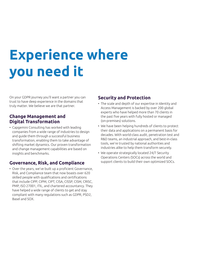## **Experience where you need it**

On your GDPR journey you'll want a partner you can trust to have deep experience in the domains that truly matter. We believe we are that partner.

#### **Change Management and Digital Transformation**

• Capgemini Consulting has worked with leading companies from a wide range of industries to design and guide them through a successful business transformation, enabling them to take advantage of shifting market dynamics. Our proven transformation and change management capabilities are based on insights and benchmarks.

#### **Governance, Risk, and Compliance**

• Over the years, we've built up a proficient Governance, Risk, and Compliance team that now boasts over 620 skilled people with qualifications and certifications that include CIPP, CIPM, CIPT, CISA, CISSP, CISM, CRISC, PMP, ISO 27001, ITIL, and chartered accountancy. They have helped a wide range of clients to get and stay compliant with many regulations such as GDPR, PSD2, Basel and SOX.

#### **Security and Protection**

- The scale and depth of our expertise in Identity and Access Management is backed by over 200 global experts who have helped more than 70 clients in the past five years with fully hosted or managed (on-premises) solutions.
- We have been helping hundreds of clients to protect their data and applications on a permanent basis for decades. With world-class audit, penetration test and R&D teams, an industrial approach, and best-in-class tools, we're trusted by national authorities and industries alike to help them transform securely.
- We operate strategically located 24/7 Security Operations Centers (SOCs) across the world and support clients to build their own optimized SOCs.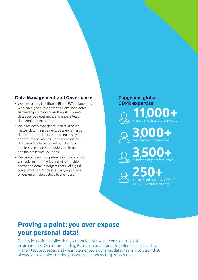#### **Data Management and Governance**

- We have a long tradition in BI and ECM, pioneering work on big and fast data solutions, innovative partnerships, strong consulting skills, deep data science experience, and unparalleled data engineering strength.
- We have deep experience in data lifecycle, master data management, data governance, data retention, deletion, masking, encryption, anonymization, and pseudonymization or discovery. We have helped our clients to architect, select technologies, implement, and maintain such solutions.
- We combine our competence in the data field with advanced analytics and AI to provide sector and domain insights that fuel digital transformation. Of course, carrying privacy by design principles close to the heart.

**Capgemini global GDPR expertise 11,000+** 

> **3,000+** nsultants

insight and data professionals

**3,500+** accionals

**250+** and certified CIPP-e/ CIPT/CIPM professionals

### **Proving a point: you over expose your personal data!**

Privacy by design implies that you should not use personal data in test environments. One of our leading European manufacturing clients used live data in their test processes, and we implemented a dynamic data masking solution that allows for a seamless testing process, while respecting privacy rules.